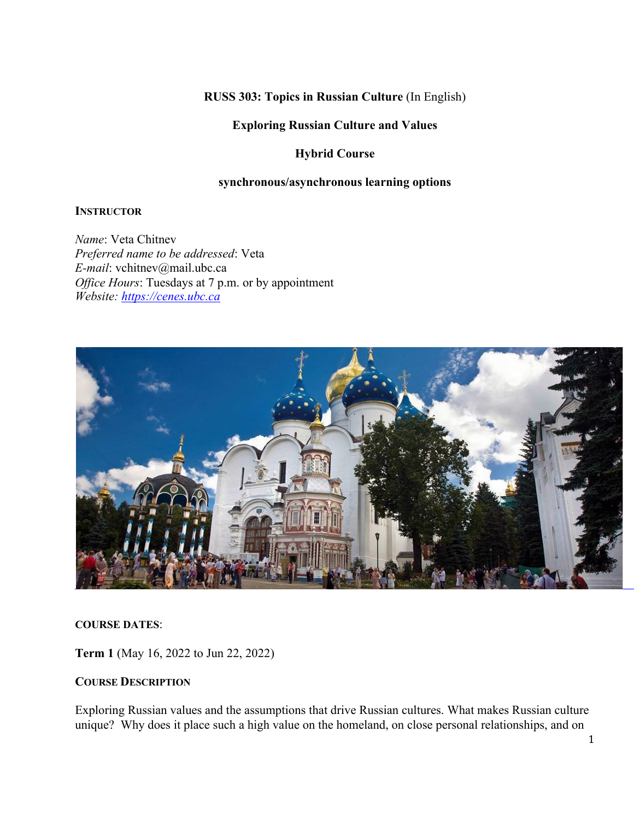**RUSS 303: Topics in Russian Culture** (In English)

#### **Exploring Russian Culture and Values**

### **Hybrid Course**

#### **synchronous/asynchronous learning options**

#### **INSTRUCTOR**

*Name*: Veta Chitnev *Preferred name to be addressed*: Veta *E-mail*: vchitnev@mail.ubc.ca *Office Hours*: Tuesdays at 7 p.m. or by appointment *Website: https://cenes.ubc.ca*



#### **COURSE DATES**:

**Term 1** (May 16, 2022 to Jun 22, 2022)

#### **COURSE DESCRIPTION**

Exploring Russian values and the assumptions that drive Russian cultures. What makes Russian culture unique? Why does it place such a high value on the homeland, on close personal relationships, and on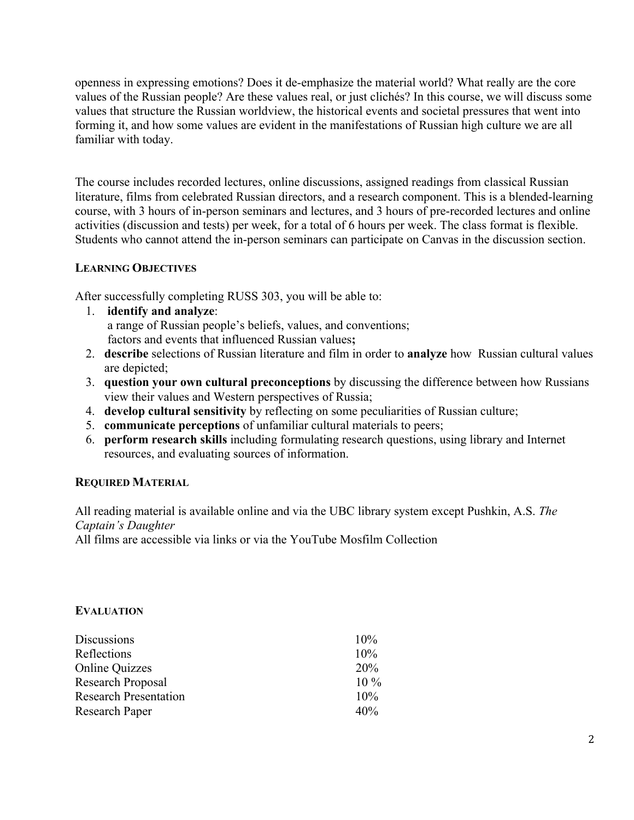openness in expressing emotions? Does it de-emphasize the material world? What really are the core values of the Russian people? Are these values real, or just clichés? In this course, we will discuss some values that structure the Russian worldview, the historical events and societal pressures that went into forming it, and how some values are evident in the manifestations of Russian high culture we are all familiar with today.

The course includes recorded lectures, online discussions, assigned readings from classical Russian literature, films from celebrated Russian directors, and a research component. This is a blended-learning course, with 3 hours of in-person seminars and lectures, and 3 hours of pre-recorded lectures and online activities (discussion and tests) per week, for a total of 6 hours per week. The class format is flexible. Students who cannot attend the in-person seminars can participate on Canvas in the discussion section.

### **LEARNING OBJECTIVES**

After successfully completing RUSS 303, you will be able to:

- 1. **identify and analyze**: a range of Russian people's beliefs, values, and conventions; factors and events that influenced Russian values**;**
- 2. **describe** selections of Russian literature and film in order to **analyze** how Russian cultural values are depicted;
- 3. **question your own cultural preconceptions** by discussing the difference between how Russians view their values and Western perspectives of Russia;
- 4. **develop cultural sensitivity** by reflecting on some peculiarities of Russian culture;
- 5. **communicate perceptions** of unfamiliar cultural materials to peers;
- 6. **perform research skills** including formulating research questions, using library and Internet resources, and evaluating sources of information.

#### **REQUIRED MATERIAL**

All reading material is available online and via the UBC library system except Pushkin, A.S. *The Captain's Daughter*

All films are accessible via links or via the YouTube Mosfilm Collection

#### **EVALUATION**

| <b>Discussions</b>           | 10%    |
|------------------------------|--------|
| Reflections                  | 10%    |
| <b>Online Quizzes</b>        | 20%    |
| Research Proposal            | $10\%$ |
| <b>Research Presentation</b> | 10%    |
| Research Paper               | 40%    |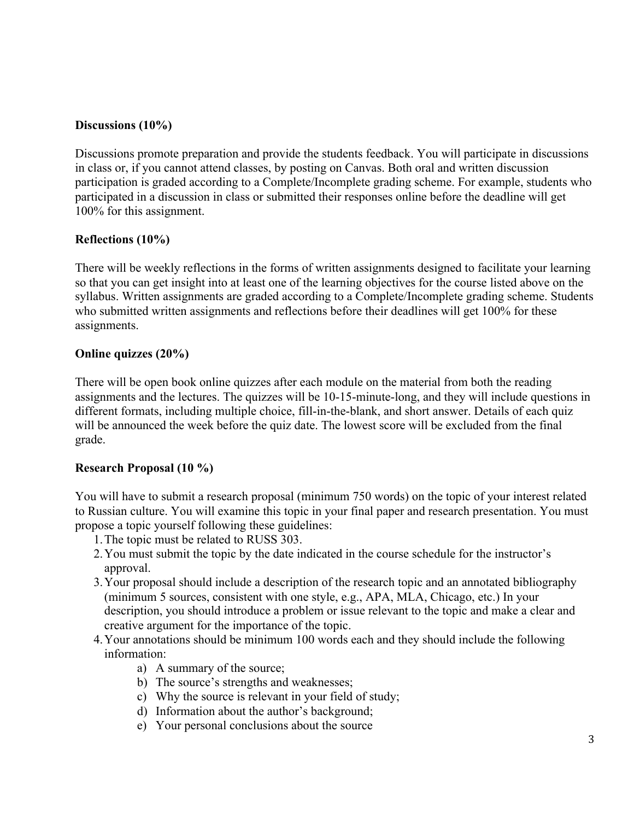### **Discussions (10%)**

Discussions promote preparation and provide the students feedback. You will participate in discussions in class or, if you cannot attend classes, by posting on Canvas. Both oral and written discussion participation is graded according to a Complete/Incomplete grading scheme. For example, students who participated in a discussion in class or submitted their responses online before the deadline will get 100% for this assignment.

### **Reflections (10%)**

There will be weekly reflections in the forms of written assignments designed to facilitate your learning so that you can get insight into at least one of the learning objectives for the course listed above on the syllabus. Written assignments are graded according to a Complete/Incomplete grading scheme. Students who submitted written assignments and reflections before their deadlines will get 100% for these assignments.

#### **Online quizzes (20%)**

There will be open book online quizzes after each module on the material from both the reading assignments and the lectures. The quizzes will be 10-15-minute-long, and they will include questions in different formats, including multiple choice, fill-in-the-blank, and short answer. Details of each quiz will be announced the week before the quiz date. The lowest score will be excluded from the final grade.

### **Research Proposal (10 %)**

You will have to submit a research proposal (minimum 750 words) on the topic of your interest related to Russian culture. You will examine this topic in your final paper and research presentation. You must propose a topic yourself following these guidelines:

- 1.The topic must be related to RUSS 303.
- 2.You must submit the topic by the date indicated in the course schedule for the instructor's approval.
- 3.Your proposal should include a description of the research topic and an annotated bibliography (minimum 5 sources, consistent with one style, e.g., APA, MLA, Chicago, etc.) In your description, you should introduce a problem or issue relevant to the topic and make a clear and creative argument for the importance of the topic.
- 4.Your annotations should be minimum 100 words each and they should include the following information:
	- a) A summary of the source;
	- b) The source's strengths and weaknesses;
	- c) Why the source is relevant in your field of study;
	- d) Information about the author's background;
	- e) Your personal conclusions about the source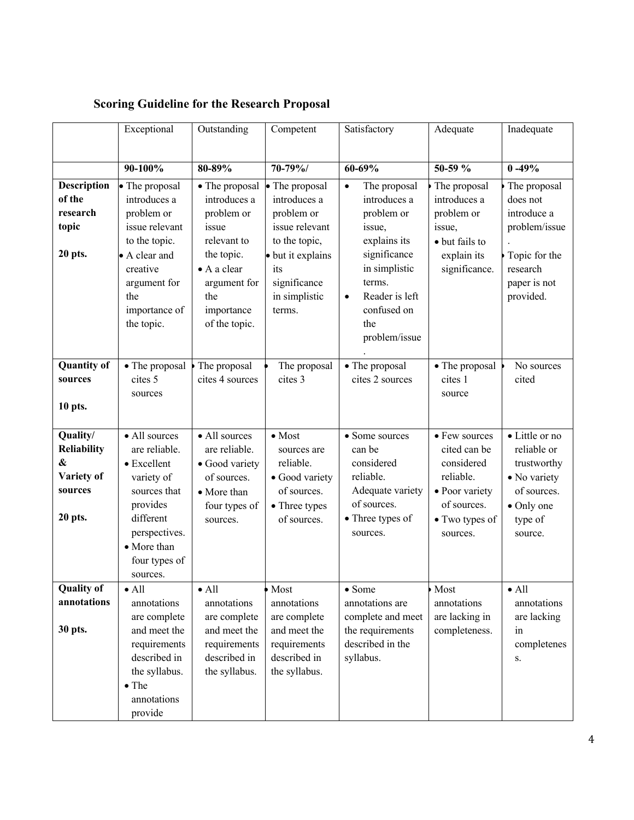|                                                                                  | Exceptional                                                                                                                                                        | Outstanding                                                                                                                                             | Competent                                                                                                                                              | Satisfactory                                                                                                                                                                                       | Adequate                                                                                                                | Inadequate                                                                                                         |
|----------------------------------------------------------------------------------|--------------------------------------------------------------------------------------------------------------------------------------------------------------------|---------------------------------------------------------------------------------------------------------------------------------------------------------|--------------------------------------------------------------------------------------------------------------------------------------------------------|----------------------------------------------------------------------------------------------------------------------------------------------------------------------------------------------------|-------------------------------------------------------------------------------------------------------------------------|--------------------------------------------------------------------------------------------------------------------|
|                                                                                  |                                                                                                                                                                    |                                                                                                                                                         |                                                                                                                                                        |                                                                                                                                                                                                    |                                                                                                                         |                                                                                                                    |
|                                                                                  | 90-100%                                                                                                                                                            | 80-89%                                                                                                                                                  | 70-79%/                                                                                                                                                | $60 - 69%$                                                                                                                                                                                         | 50-59 %                                                                                                                 | $0 - 49%$                                                                                                          |
| Description<br>of the<br>research<br>topic<br>20 pts.                            | • The proposal<br>introduces a<br>problem or<br>issue relevant<br>to the topic.<br>• A clear and<br>creative<br>argument for<br>the<br>importance of<br>the topic. | • The proposal<br>introduces a<br>problem or<br>issue<br>relevant to<br>the topic.<br>• A a clear<br>argument for<br>the<br>importance<br>of the topic. | • The proposal<br>introduces a<br>problem or<br>issue relevant<br>to the topic,<br>· but it explains<br>its<br>significance<br>in simplistic<br>terms. | The proposal<br>$\bullet$<br>introduces a<br>problem or<br>issue,<br>explains its<br>significance<br>in simplistic<br>terms.<br>Reader is left<br>$\bullet$<br>confused on<br>the<br>problem/issue | The proposal<br>introduces a<br>problem or<br>issue,<br>• but fails to<br>explain its<br>significance.                  | The proposal<br>does not<br>introduce a<br>problem/issue<br>Topic for the<br>research<br>paper is not<br>provided. |
| <b>Quantity of</b><br>sources<br>10 pts.                                         | • The proposal<br>cites 5<br>sources                                                                                                                               | The proposal<br>cites 4 sources                                                                                                                         | The proposal<br>cites 3                                                                                                                                | • The proposal<br>cites 2 sources                                                                                                                                                                  | • The proposal<br>cites 1<br>source                                                                                     | No sources<br>cited                                                                                                |
| Quality/<br>Reliability<br>$\boldsymbol{\&}$<br>Variety of<br>sources<br>20 pts. | • All sources<br>are reliable.<br>• Excellent<br>variety of<br>sources that<br>provides<br>different<br>perspectives.<br>• More than<br>four types of<br>sources.  | • All sources<br>are reliable.<br>• Good variety<br>of sources.<br>• More than<br>four types of<br>sources.                                             | $\bullet$ Most<br>sources are<br>reliable.<br>· Good variety<br>of sources.<br>• Three types<br>of sources.                                            | • Some sources<br>can be<br>considered<br>reliable.<br>Adequate variety<br>of sources.<br>• Three types of<br>sources.                                                                             | • Few sources<br>cited can be<br>considered<br>reliable.<br>• Poor variety<br>of sources.<br>• Two types of<br>sources. | • Little or no<br>reliable or<br>trustworthy<br>• No variety<br>of sources.<br>• Only one<br>type of<br>source.    |
| <b>Quality of</b><br>annotations<br>30 pts.                                      | $\bullet$ All<br>annotations<br>are complete<br>and meet the<br>requirements<br>described in<br>the syllabus.<br>$\bullet$ The<br>annotations<br>provide           | $\bullet$ All<br>annotations<br>are complete<br>and meet the<br>requirements<br>described in<br>the syllabus.                                           | Most<br>annotations<br>are complete<br>and meet the<br>requirements<br>described in<br>the syllabus.                                                   | $\bullet$ Some<br>annotations are<br>complete and meet<br>the requirements<br>described in the<br>syllabus.                                                                                        | Most<br>annotations<br>are lacking in<br>completeness.                                                                  | $\bullet$ All<br>annotations<br>are lacking<br>in<br>completenes<br>S.                                             |

# **Scoring Guideline for the Research Proposal**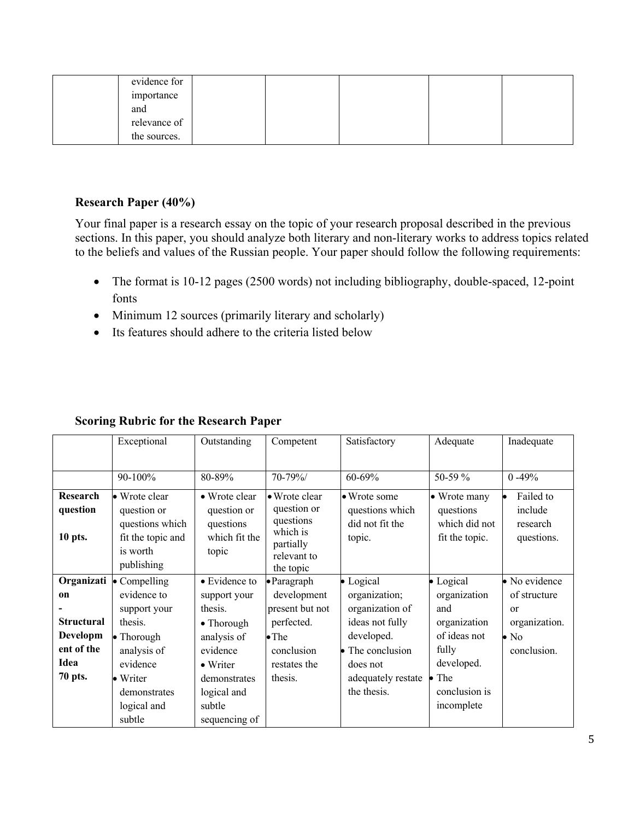| evidence for |  |  |  |
|--------------|--|--|--|
| importance   |  |  |  |
| and          |  |  |  |
| relevance of |  |  |  |
| the sources. |  |  |  |

#### **Research Paper (40%)**

Your final paper is a research essay on the topic of your research proposal described in the previous sections. In this paper, you should analyze both literary and non-literary works to address topics related to the beliefs and values of the Russian people. Your paper should follow the following requirements:

- The format is 10-12 pages (2500 words) not including bibliography, double-spaced, 12-point fonts
- Minimum 12 sources (primarily literary and scholarly)
- Its features should adhere to the criteria listed below

|                   | Exceptional          | Outstanding        | Competent           | Satisfactory       | Adequate          | Inadequate    |
|-------------------|----------------------|--------------------|---------------------|--------------------|-------------------|---------------|
|                   |                      |                    |                     |                    |                   |               |
|                   |                      |                    |                     |                    |                   |               |
|                   | 90-100%              | 80-89%             | 70-79%/             | 60-69%             | 50-59 %           | $0 - 49%$     |
| Research          | • Wrote clear        | • Wrote clear      | • Wrote clear       | • Wrote some       | • Wrote many      | Failed to     |
| question          | question or          | question or        | question or         | questions which    | questions         | include       |
|                   | questions which      | questions          | questions           | did not fit the    | which did not     | research      |
| 10 pts.           | fit the topic and    | which fit the      | which is            | topic.             | fit the topic.    | questions.    |
|                   |                      |                    | partially           |                    |                   |               |
|                   | is worth             | topic              | relevant to         |                    |                   |               |
|                   | publishing           |                    | the topic           |                    |                   |               |
| Organizati        | $\bullet$ Compelling | • Evidence to      | $\bullet$ Paragraph | • Logical          | $\bullet$ Logical | • No evidence |
| <sub>on</sub>     | evidence to          | support your       | development         | organization;      | organization      | of structure  |
|                   | support your         | thesis.            | present but not     | organization of    | and               | <b>or</b>     |
| <b>Structural</b> | thesis.              | $\bullet$ Thorough | perfected.          | ideas not fully    | organization      | organization. |
| Developm          | $\bullet$ Thorough   | analysis of        | $\bullet$ The       | developed.         | of ideas not      | $\bullet$ No  |
| ent of the        | analysis of          | evidence           | conclusion          | The conclusion     | fully             | conclusion.   |
| Idea              | evidence             | • Writer           | restates the        | does not           | developed.        |               |
| 70 pts.           | • Writer             | demonstrates       | thesis.             | adequately restate | $\bullet$ The     |               |
|                   | demonstrates         | logical and        |                     | the thesis.        | conclusion is     |               |
|                   | logical and          | subtle             |                     |                    | incomplete        |               |
|                   | subtle               | sequencing of      |                     |                    |                   |               |

### **Scoring Rubric for the Research Paper**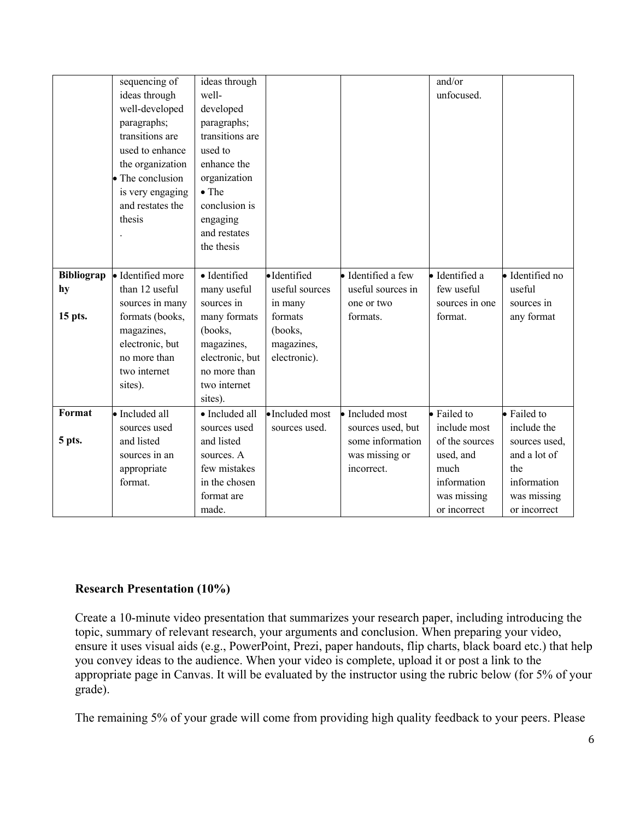|            | sequencing of     | ideas through   |                 |                    | and/or         |                 |
|------------|-------------------|-----------------|-----------------|--------------------|----------------|-----------------|
|            | ideas through     | well-           |                 |                    | unfocused.     |                 |
|            | well-developed    | developed       |                 |                    |                |                 |
|            | paragraphs;       | paragraphs;     |                 |                    |                |                 |
|            | transitions are   | transitions are |                 |                    |                |                 |
|            | used to enhance   | used to         |                 |                    |                |                 |
|            | the organization  | enhance the     |                 |                    |                |                 |
|            | • The conclusion  | organization    |                 |                    |                |                 |
|            | is very engaging  | $\bullet$ The   |                 |                    |                |                 |
|            | and restates the  | conclusion is   |                 |                    |                |                 |
|            | thesis            | engaging        |                 |                    |                |                 |
|            |                   | and restates    |                 |                    |                |                 |
|            |                   | the thesis      |                 |                    |                |                 |
|            |                   |                 |                 |                    |                |                 |
| Bibliograp | · Identified more | · Identified    | ·Identified     | · Identified a few | · Identified a | · Identified no |
| hy         | than 12 useful    | many useful     | useful sources  | useful sources in  | few useful     | useful          |
|            | sources in many   | sources in      | in many         | one or two         | sources in one | sources in      |
| 15 pts.    | formats (books,   | many formats    | formats         | formats.           | format.        | any format      |
|            | magazines,        | (books,         | (books,         |                    |                |                 |
|            | electronic, but   | magazines,      | magazines,      |                    |                |                 |
|            | no more than      | electronic, but | electronic).    |                    |                |                 |
|            | two internet      | no more than    |                 |                    |                |                 |
|            | sites).           | two internet    |                 |                    |                |                 |
|            |                   | sites).         |                 |                    |                |                 |
| Format     | • Included all    | · Included all  | · Included most | · Included most    | · Failed to    | • Failed to     |
|            | sources used      | sources used    | sources used.   | sources used, but  | include most   | include the     |
| 5 pts.     | and listed        | and listed      |                 | some information   | of the sources | sources used,   |
|            | sources in an     | sources. A      |                 | was missing or     | used, and      | and a lot of    |
|            | appropriate       | few mistakes    |                 | incorrect.         | much           | the             |
|            | format.           | in the chosen   |                 |                    | information    | information     |
|            |                   | format are      |                 |                    | was missing    | was missing     |
|            |                   | made.           |                 |                    | or incorrect   | or incorrect    |

### **Research Presentation (10%)**

Create a 10-minute video presentation that summarizes your research paper, including introducing the topic, summary of relevant research, your arguments and conclusion. When preparing your video, ensure it uses visual aids (e.g., PowerPoint, Prezi, paper handouts, flip charts, black board etc.) that help you convey ideas to the audience. When your video is complete, upload it or post a link to the appropriate page in Canvas. It will be evaluated by the instructor using the rubric below (for 5% of your grade).

The remaining 5% of your grade will come from providing high quality feedback to your peers. Please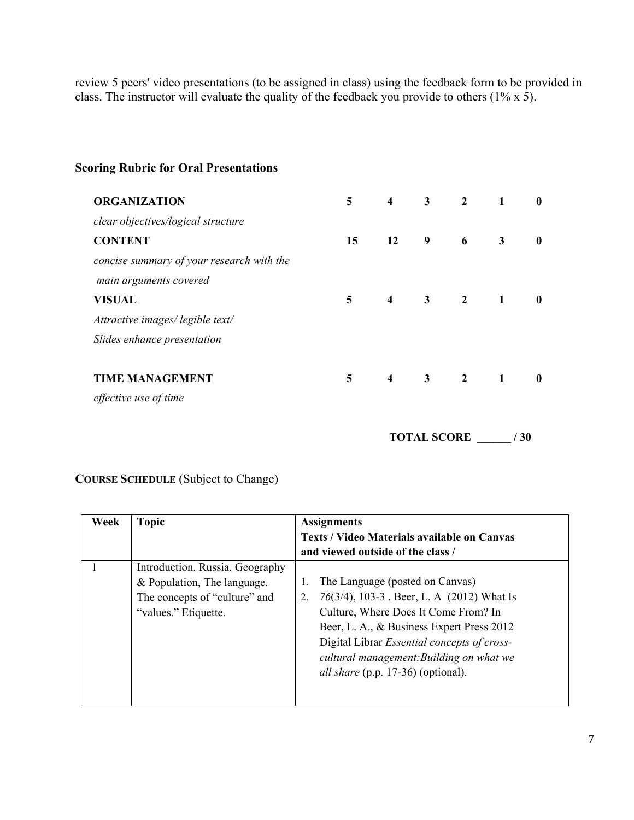review 5 peers' video presentations (to be assigned in class) using the feedback form to be provided in class. The instructor will evaluate the quality of the feedback you provide to others (1% x 5).

| <b>ORGANIZATION</b>                       | 5 <sup>5</sup> | $\overline{\mathbf{4}}$ | $\overline{\mathbf{3}}$ | $\overline{\mathbf{c}}$     | $\mathbf{1}$ | $\mathbf{0}$ |
|-------------------------------------------|----------------|-------------------------|-------------------------|-----------------------------|--------------|--------------|
| clear objectives/logical structure        |                |                         |                         |                             |              |              |
| <b>CONTENT</b>                            | 15             | 12                      | $\overline{\mathbf{9}}$ | $\overline{\phantom{a}}$    | $\mathbf{3}$ | $\mathbf{0}$ |
| concise summary of your research with the |                |                         |                         |                             |              |              |
| main arguments covered                    |                |                         |                         |                             |              |              |
| <b>VISUAL</b>                             | 5 <sub>1</sub> |                         |                         | $4 \quad 3 \quad 2 \quad 1$ |              | $\mathbf{0}$ |
| Attractive images/legible text/           |                |                         |                         |                             |              |              |
| Slides enhance presentation               |                |                         |                         |                             |              |              |
|                                           |                |                         |                         |                             |              |              |
| <b>TIME MANAGEMENT</b>                    | 5              | $\overline{4}$          |                         | $3 \t 2 \t 1$               |              | $\mathbf{0}$ |
| effective use of time                     |                |                         |                         |                             |              |              |

### **Scoring Rubric for Oral Presentations**

 **TOTAL SCORE \_\_\_\_\_\_ / 30**

### **COURSE SCHEDULE** (Subject to Change)

| Week | <b>Topic</b>                                                                                                            | <b>Assignments</b><br><b>Texts / Video Materials available on Canvas</b><br>and viewed outside of the class /                                                                                                                                                                                                                 |
|------|-------------------------------------------------------------------------------------------------------------------------|-------------------------------------------------------------------------------------------------------------------------------------------------------------------------------------------------------------------------------------------------------------------------------------------------------------------------------|
|      | Introduction. Russia. Geography<br>& Population, The language.<br>The concepts of "culture" and<br>"values." Etiquette. | The Language (posted on Canvas)<br>1.<br>76(3/4), 103-3 . Beer, L. A (2012) What Is<br>2.<br>Culture, Where Does It Come From? In<br>Beer, L. A., & Business Expert Press 2012<br>Digital Librar <i>Essential concepts of cross-</i><br>cultural management: Building on what we<br><i>all share</i> (p.p. 17-36) (optional). |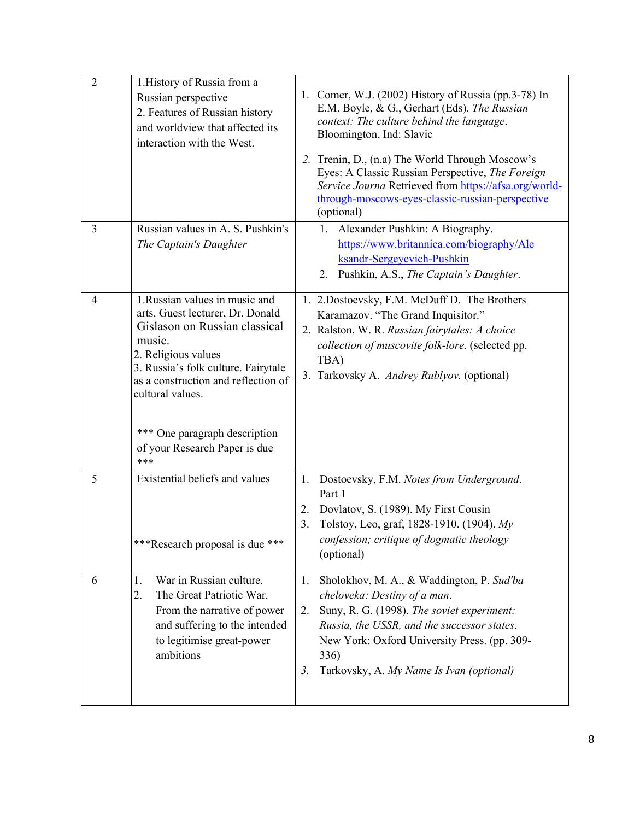| $\mathbf{2}$ | 1. History of Russia from a<br>Russian perspective<br>2. Features of Russian history<br>and worldview that affected its<br>interaction with the West.                                                                                                                                                          | 1. Comer, W.J. (2002) History of Russia (pp.3-78) In<br>E.M. Boyle, & G., Gerhart (Eds). The Russian<br>context: The culture behind the language.<br>Bloomington, Ind: Slavic<br>2. Trenin, D., (n.a) The World Through Moscow's<br>Eyes: A Classic Russian Perspective, The Foreign<br>Service Journa Retrieved from https://afsa.org/world-<br>through-moscows-eyes-classic-russian-perspective<br>(optional) |
|--------------|----------------------------------------------------------------------------------------------------------------------------------------------------------------------------------------------------------------------------------------------------------------------------------------------------------------|-----------------------------------------------------------------------------------------------------------------------------------------------------------------------------------------------------------------------------------------------------------------------------------------------------------------------------------------------------------------------------------------------------------------|
| 3            | Russian values in A. S. Pushkin's<br>The Captain's Daughter                                                                                                                                                                                                                                                    | 1. Alexander Pushkin: A Biography.<br>https://www.britannica.com/biography/Ale<br>ksandr-Sergeyevich-Pushkin<br>2. Pushkin, A.S., The Captain's Daughter.                                                                                                                                                                                                                                                       |
| 4            | 1.Russian values in music and<br>arts. Guest lecturer, Dr. Donald<br>Gislason on Russian classical<br>music.<br>2. Religious values<br>3. Russia's folk culture. Fairytale<br>as a construction and reflection of<br>cultural values.<br>*** One paragraph description<br>of your Research Paper is due<br>*** | 1. 2. Dostoevsky, F.M. McDuff D. The Brothers<br>Karamazov. "The Grand Inquisitor."<br>2. Ralston, W. R. Russian fairytales: A choice<br>collection of muscovite folk-lore. (selected pp.<br>TBA)<br>3. Tarkovsky A. Andrey Rublyov. (optional)                                                                                                                                                                 |
| 5            | Existential beliefs and values<br>***Research proposal is due ***                                                                                                                                                                                                                                              | Dostoevsky, F.M. Notes from Underground.<br>1.<br>Part 1<br>Dovlatov, S. (1989). My First Cousin<br>2.<br>Tolstoy, Leo, graf, 1828-1910. (1904). My<br>3.<br>confession; critique of dogmatic theology<br>(optional)                                                                                                                                                                                            |
| 6            | War in Russian culture.<br>1.<br>The Great Patriotic War.<br>2.<br>From the narrative of power<br>and suffering to the intended<br>to legitimise great-power<br>ambitions                                                                                                                                      | Sholokhov, M. A., & Waddington, P. Sud'ba<br>1.<br>cheloveka: Destiny of a man.<br>Suny, R. G. (1998). The soviet experiment:<br>2.<br>Russia, the USSR, and the successor states.<br>New York: Oxford University Press. (pp. 309-<br>336)<br>Tarkovsky, A. My Name Is Ivan (optional)<br>3 <sub>1</sub>                                                                                                        |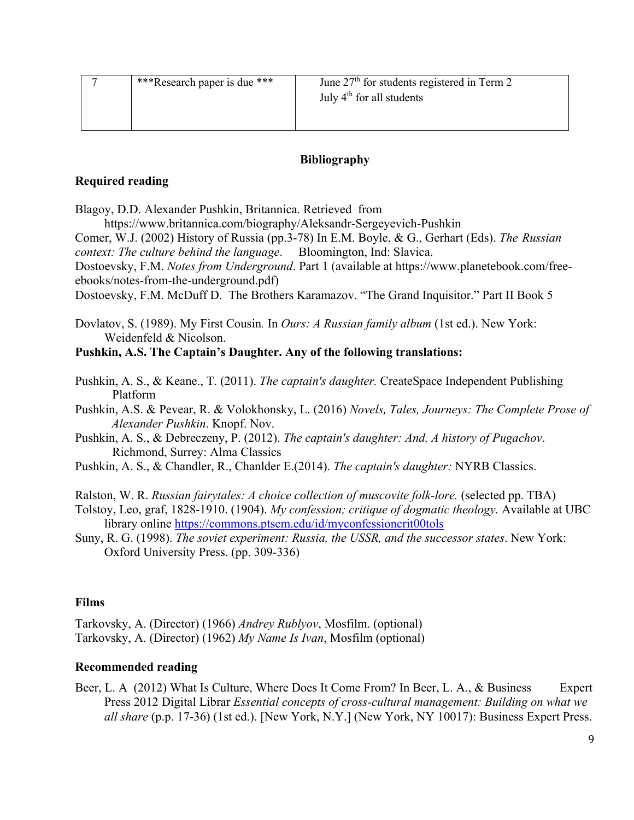| ***Research paper is due *** | June $27th$ for students registered in Term 2 |
|------------------------------|-----------------------------------------------|
|                              | July $4th$ for all students                   |
|                              |                                               |

#### **Bibliography**

#### **Required reading**

Blagoy, D.D. Alexander Pushkin, Britannica. Retrieved from

https://www.britannica.com/biography/Aleksandr-Sergeyevich-Pushkin

Comer, W.J. (2002) History of Russia (pp.3-78) In E.M. Boyle, & G., Gerhart (Eds). *The Russian context: The culture behind the language*. Bloomington, Ind: Slavica.

Dostoevsky, F.M. *Notes from Underground*. Part 1 (available at https://www.planetebook.com/freeebooks/notes-from-the-underground.pdf)

Dostoevsky, F.M. McDuff D. The Brothers Karamazov. "The Grand Inquisitor." Part II Book 5

Dovlatov, S. (1989). My First Cousin*.* In *Ours: A Russian family album* (1st ed.). New York: Weidenfeld & Nicolson.

#### **Pushkin, A.S. The Captain's Daughter. Any of the following translations:**

- Pushkin, A. S., & Keane., T. (2011). *The captain's daughter.* CreateSpace Independent Publishing Platform
- Pushkin, A.S. & Pevear, R. & Volokhonsky, L. (2016) *Novels, Tales, Journeys: The Complete Prose of Alexander Pushkin*. Knopf. Nov.

Pushkin, A. S., & Debreczeny, P. (2012). *The captain's daughter: And, A history of Pugachov*. Richmond, Surrey: Alma Classics

- Pushkin, A. S., & Chandler, R., Chanlder E.(2014). *The captain's daughter:* NYRB Classics.
- Ralston, W. R. *Russian fairytales: A choice collection of muscovite folk-lore.* (selected pp. TBA)
- Tolstoy, Leo, graf, 1828-1910. (1904). *My confession; critique of dogmatic theology.* Available at UBC library online https://commons.ptsem.edu/id/myconfessioncrit00tols
- Suny, R. G. (1998). *The soviet experiment: Russia, the USSR, and the successor states*. New York: Oxford University Press. (pp. 309-336)

#### **Films**

Tarkovsky, A. (Director) (1966) *Andrey Rublyov*, Mosfilm. (optional) Tarkovsky, A. (Director) (1962) *My Name Is Ivan*, Mosfilm (optional)

#### **Recommended reading**

Beer, L. A (2012) What Is Culture, Where Does It Come From? In Beer, L. A., & Business Expert Press 2012 Digital Librar *Essential concepts of cross-cultural management: Building on what we all share* (p.p. 17-36) (1st ed.). [New York, N.Y.] (New York, NY 10017): Business Expert Press.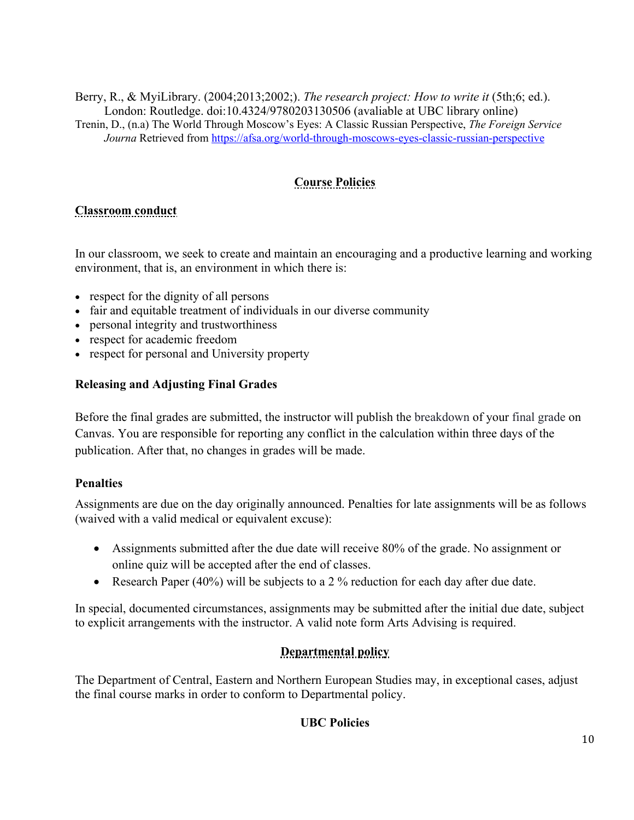Berry, R., & MyiLibrary. (2004;2013;2002;). *The research project: How to write it* (5th;6; ed.). London: Routledge. doi:10.4324/9780203130506 (avaliable at UBC library online) Trenin, D., (n.a) The World Through Moscow's Eyes: A Classic Russian Perspective, *The Foreign Service Journa* Retrieved from https://afsa.org/world-through-moscows-eyes-classic-russian-perspective

# **Course Policies**

# **Classroom conduct**

In our classroom, we seek to create and maintain an encouraging and a productive learning and working environment, that is, an environment in which there is:

- respect for the dignity of all persons
- fair and equitable treatment of individuals in our diverse community
- personal integrity and trustworthiness
- respect for academic freedom
- respect for personal and University property

### **Releasing and Adjusting Final Grades**

Before the final grades are submitted, the instructor will publish the breakdown of your final grade on Canvas. You are responsible for reporting any conflict in the calculation within three days of the publication. After that, no changes in grades will be made.

### **Penalties**

Assignments are due on the day originally announced. Penalties for late assignments will be as follows (waived with a valid medical or equivalent excuse):

- Assignments submitted after the due date will receive 80% of the grade. No assignment or online quiz will be accepted after the end of classes.
- Research Paper  $(40%)$  will be subjects to a 2 % reduction for each day after due date.

In special, documented circumstances, assignments may be submitted after the initial due date, subject to explicit arrangements with the instructor. A valid note form Arts Advising is required.

# **Departmental policy**

The Department of Central, Eastern and Northern European Studies may, in exceptional cases, adjust the final course marks in order to conform to Departmental policy.

### **UBC Policies**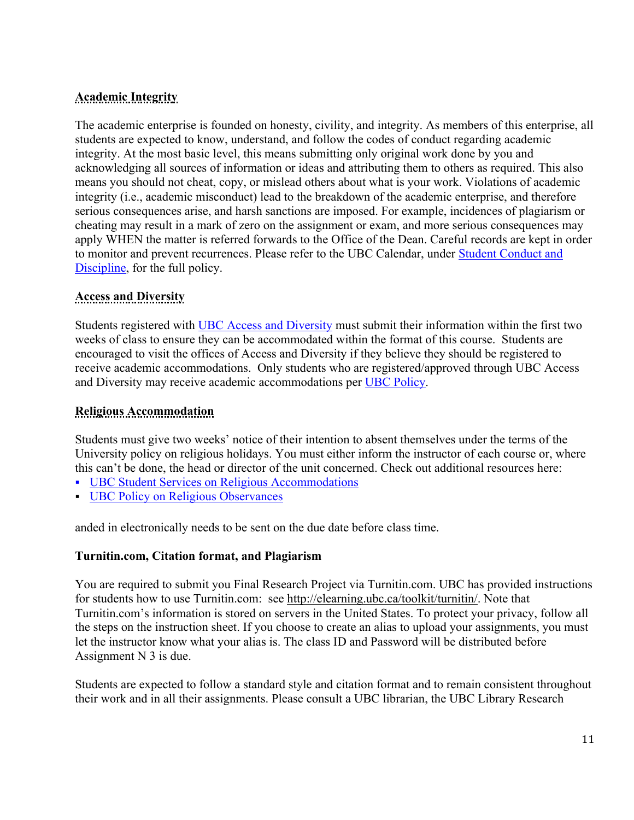# **Academic Integrity**

The academic enterprise is founded on honesty, civility, and integrity. As members of this enterprise, all students are expected to know, understand, and follow the codes of conduct regarding academic integrity. At the most basic level, this means submitting only original work done by you and acknowledging all sources of information or ideas and attributing them to others as required. This also means you should not cheat, copy, or mislead others about what is your work. Violations of academic integrity (i.e., academic misconduct) lead to the breakdown of the academic enterprise, and therefore serious consequences arise, and harsh sanctions are imposed. For example, incidences of plagiarism or cheating may result in a mark of zero on the assignment or exam, and more serious consequences may apply WHEN the matter is referred forwards to the Office of the Dean. Careful records are kept in order to monitor and prevent recurrences. Please refer to the UBC Calendar, under Student Conduct and Discipline, for the full policy.

### **Access and Diversity**

Students registered with UBC Access and Diversity must submit their information within the first two weeks of class to ensure they can be accommodated within the format of this course. Students are encouraged to visit the offices of Access and Diversity if they believe they should be registered to receive academic accommodations. Only students who are registered/approved through UBC Access and Diversity may receive academic accommodations per UBC Policy.

### **Religious Accommodation**

Students must give two weeks' notice of their intention to absent themselves under the terms of the University policy on religious holidays. You must either inform the instructor of each course or, where this can't be done, the head or director of the unit concerned. Check out additional resources here:

- UBC Student Services on Religious Accommodations
- § UBC Policy on Religious Observances

anded in electronically needs to be sent on the due date before class time.

### **Turnitin.com, Citation format, and Plagiarism**

You are required to submit you Final Research Project via Turnitin.com. UBC has provided instructions for students how to use Turnitin.com: see http://elearning.ubc.ca/toolkit/turnitin/. Note that Turnitin.com's information is stored on servers in the United States. To protect your privacy, follow all the steps on the instruction sheet. If you choose to create an alias to upload your assignments, you must let the instructor know what your alias is. The class ID and Password will be distributed before Assignment N 3 is due.

Students are expected to follow a standard style and citation format and to remain consistent throughout their work and in all their assignments. Please consult a UBC librarian, the UBC Library Research